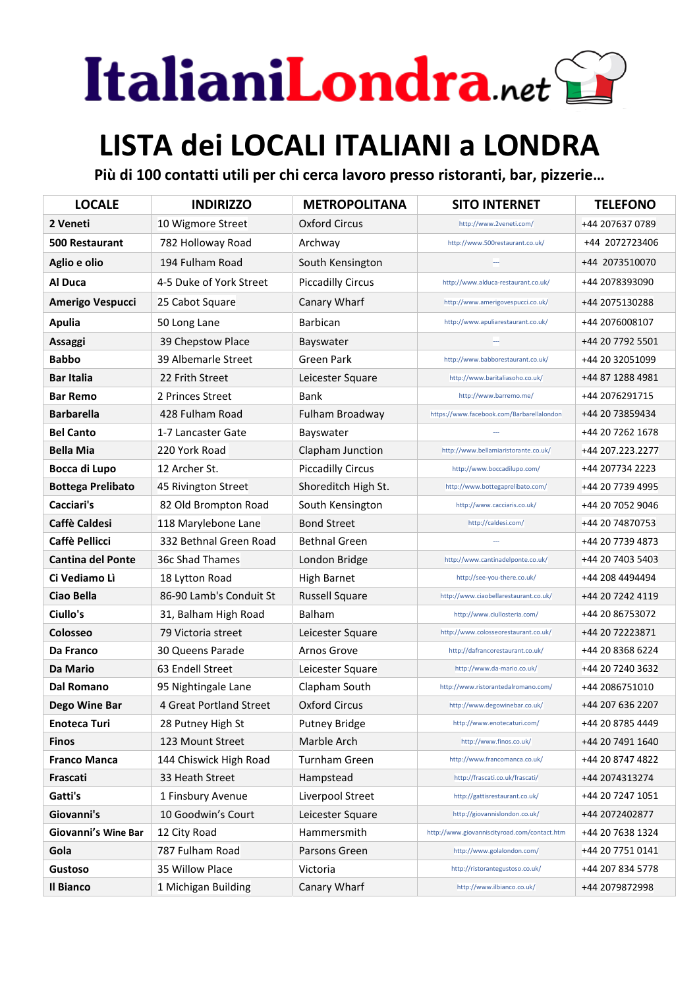## ItalianiLondra.net

## **LISTA dei LOCALI ITALIANI a LONDRA**

**Più di 100 contatti utili per chi cerca lavoro presso ristoranti, bar, pizzerie…**

| <b>LOCALE</b>            | <b>INDIRIZZO</b>        | <b>METROPOLITANA</b>     | <b>SITO INTERNET</b>                         | <b>TELEFONO</b>  |
|--------------------------|-------------------------|--------------------------|----------------------------------------------|------------------|
| 2 Veneti                 | 10 Wigmore Street       | <b>Oxford Circus</b>     | http://www.2veneti.com/                      | +44 207637 0789  |
| <b>500 Restaurant</b>    | 782 Holloway Road       | Archway                  | http://www.500restaurant.co.uk/              | +44 2072723406   |
| Aglio e olio             | 194 Fulham Road         | South Kensington         |                                              | +44 2073510070   |
| Al Duca                  | 4-5 Duke of York Street | <b>Piccadilly Circus</b> | http://www.alduca-restaurant.co.uk/          | +44 2078393090   |
| Amerigo Vespucci         | 25 Cabot Square         | Canary Wharf             | http://www.amerigovespucci.co.uk/            | +44 2075130288   |
| <b>Apulia</b>            | 50 Long Lane            | Barbican                 | http://www.apuliarestaurant.co.uk/           | +44 2076008107   |
| Assaggi                  | 39 Chepstow Place       | Bayswater                |                                              | +44 20 7792 5501 |
| <b>Babbo</b>             | 39 Albemarle Street     | Green Park               | http://www.babborestaurant.co.uk/            | +44 20 32051099  |
| <b>Bar Italia</b>        | 22 Frith Street         | Leicester Square         | http://www.baritaliasoho.co.uk/              | +44 87 1288 4981 |
| <b>Bar Remo</b>          | 2 Princes Street        | Bank                     | http://www.barremo.me/                       | +44 2076291715   |
| <b>Barbarella</b>        | 428 Fulham Road         | Fulham Broadway          | https://www.facebook.com/Barbarellalondon    | +44 20 73859434  |
| <b>Bel Canto</b>         | 1-7 Lancaster Gate      | Bayswater                |                                              | +44 20 7262 1678 |
| <b>Bella Mia</b>         | 220 York Road           | Clapham Junction         | http://www.bellamiaristorante.co.uk/         | +44 207.223.2277 |
| Bocca di Lupo            | 12 Archer St.           | <b>Piccadilly Circus</b> | http://www.boccadilupo.com/                  | +44 207734 2223  |
| <b>Bottega Prelibato</b> | 45 Rivington Street     | Shoreditch High St.      | http://www.bottegaprelibato.com/             | +44 20 7739 4995 |
| Cacciari's               | 82 Old Brompton Road    | South Kensington         | http://www.cacciaris.co.uk/                  | +44 20 7052 9046 |
| Caffè Caldesi            | 118 Marylebone Lane     | <b>Bond Street</b>       | http://caldesi.com/                          | +44 20 74870753  |
| <b>Caffè Pellicci</b>    | 332 Bethnal Green Road  | <b>Bethnal Green</b>     |                                              | +44 20 7739 4873 |
| <b>Cantina del Ponte</b> | 36c Shad Thames         | London Bridge            | http://www.cantinadelponte.co.uk/            | +44 20 7403 5403 |
| Ci Vediamo Lì            | 18 Lytton Road          | <b>High Barnet</b>       | http://see-you-there.co.uk/                  | +44 208 4494494  |
| Ciao Bella               | 86-90 Lamb's Conduit St | <b>Russell Square</b>    | http://www.ciaobellarestaurant.co.uk/        | +44 20 7242 4119 |
| Ciullo's                 | 31, Balham High Road    | Balham                   | http://www.ciullosteria.com/                 | +44 20 86753072  |
| Colosseo                 | 79 Victoria street      | Leicester Square         | http://www.colosseorestaurant.co.uk/         | +44 20 72223871  |
| Da Franco                | 30 Queens Parade        | Arnos Grove              | http://dafrancorestaurant.co.uk/             | +44 20 8368 6224 |
| Da Mario                 | 63 Endell Street        | Leicester Square         | http://www.da-mario.co.uk/                   | +44 20 7240 3632 |
| <b>Dal Romano</b>        | 95 Nightingale Lane     | Clapham South            | http://www.ristorantedalromano.com/          | +44 2086751010   |
| Dego Wine Bar            | 4 Great Portland Street | <b>Oxford Circus</b>     | http://www.degowinebar.co.uk/                | +44 207 636 2207 |
| Enoteca Turi             | 28 Putney High St       | <b>Putney Bridge</b>     | http://www.enotecaturi.com/                  | +44 20 8785 4449 |
| <b>Finos</b>             | 123 Mount Street        | Marble Arch              | http://www.finos.co.uk/                      | +44 20 7491 1640 |
| <b>Franco Manca</b>      | 144 Chiswick High Road  | <b>Turnham Green</b>     | http://www.francomanca.co.uk/                | +44 20 8747 4822 |
| Frascati                 | 33 Heath Street         | Hampstead                | http://frascati.co.uk/frascati/              | +44 2074313274   |
| Gatti's                  | 1 Finsbury Avenue       | Liverpool Street         | http://gattisrestaurant.co.uk/               | +44 20 7247 1051 |
| Giovanni's               | 10 Goodwin's Court      | Leicester Square         | http://giovannislondon.co.uk/                | +44 2072402877   |
| Giovanni's Wine Bar      | 12 City Road            | Hammersmith              | http://www.giovanniscityroad.com/contact.htm | +44 20 7638 1324 |
| Gola                     | 787 Fulham Road         | Parsons Green            | http://www.golalondon.com/                   | +44 20 7751 0141 |
| <b>Gustoso</b>           | 35 Willow Place         | Victoria                 | http://ristorantegustoso.co.uk/              | +44 207 834 5778 |
| <b>Il Bianco</b>         | 1 Michigan Building     | Canary Wharf             | http://www.ilbianco.co.uk/                   | +44 2079872998   |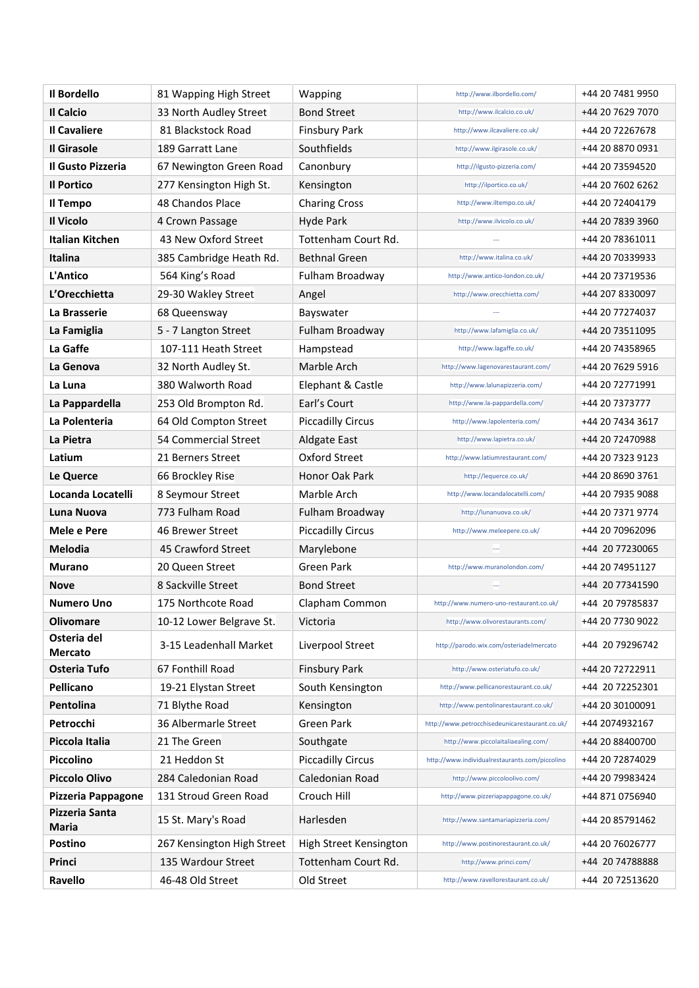| Il Bordello                    | 81 Wapping High Street     | Wapping                  | http://www.ilbordello.com/                     | +44 20 7481 9950 |
|--------------------------------|----------------------------|--------------------------|------------------------------------------------|------------------|
| Il Calcio                      | 33 North Audley Street     | Bond Street              | http://www.ilcalcio.co.uk/                     | +44 20 7629 7070 |
| <b>Il Cavaliere</b>            | 81 Blackstock Road         | <b>Finsbury Park</b>     | http://www.ilcavaliere.co.uk/                  | +44 20 72267678  |
| <b>Il Girasole</b>             | 189 Garratt Lane           | Southfields              | http://www.ilgirasole.co.uk/                   | +44 20 8870 0931 |
| Il Gusto Pizzeria              | 67 Newington Green Road    | Canonbury                | http://ilgusto-pizzeria.com/                   | +44 20 73594520  |
| Il Portico                     | 277 Kensington High St.    | Kensington               | http://ilportico.co.uk/                        | +44 20 7602 6262 |
| Il Tempo                       | 48 Chandos Place           | <b>Charing Cross</b>     | http://www.iltempo.co.uk/                      | +44 20 72404179  |
| Il Vicolo                      | 4 Crown Passage            | Hyde Park                | http://www.ilvicolo.co.uk/                     | +44 20 7839 3960 |
| <b>Italian Kitchen</b>         | 43 New Oxford Street       | Tottenham Court Rd.      |                                                | +44 20 78361011  |
| Italina                        | 385 Cambridge Heath Rd.    | <b>Bethnal Green</b>     | http://www.italina.co.uk/                      | +44 20 70339933  |
| L'Antico                       | 564 King's Road            | Fulham Broadway          | http://www.antico-london.co.uk/                | +44 20 73719536  |
| L'Orecchietta                  | 29-30 Wakley Street        | Angel                    | http://www.orecchietta.com/                    | +44 207 8330097  |
| La Brasserie                   | 68 Queensway               | Bayswater                |                                                | +44 20 77274037  |
| La Famiglia                    | 5 - 7 Langton Street       | Fulham Broadway          | http://www.lafamiglia.co.uk/                   | +44 20 73511095  |
| La Gaffe                       | 107-111 Heath Street       | Hampstead                | http://www.lagaffe.co.uk/                      | +44 20 74358965  |
| La Genova                      | 32 North Audley St.        | Marble Arch              | http://www.lagenovarestaurant.com/             | +44 20 7629 5916 |
| La Luna                        | 380 Walworth Road          | Elephant & Castle        | http://www.lalunapizzeria.com/                 | +44 20 72771991  |
| La Pappardella                 | 253 Old Brompton Rd.       | Earl's Court             | http://www.la-pappardella.com/                 | +44 20 7373777   |
| La Polenteria                  | 64 Old Compton Street      | <b>Piccadilly Circus</b> | http://www.lapolenteria.com/                   | +44 20 7434 3617 |
| La Pietra                      | 54 Commercial Street       | Aldgate East             | http://www.lapietra.co.uk/                     | +44 20 72470988  |
| Latium                         | 21 Berners Street          | Oxford Street            | http://www.latiumrestaurant.com/               | +44 20 7323 9123 |
| Le Querce                      | 66 Brockley Rise           | Honor Oak Park           | http://lequerce.co.uk/                         | +44 20 8690 3761 |
| Locanda Locatelli              | 8 Seymour Street           | Marble Arch              | http://www.locandalocatelli.com/               | +44 20 7935 9088 |
| Luna Nuova                     | 773 Fulham Road            | Fulham Broadway          | http://lunanuova.co.uk/                        | +44 20 7371 9774 |
| Mele e Pere                    | 46 Brewer Street           | <b>Piccadilly Circus</b> | http://www.meleepere.co.uk/                    | +44 20 70962096  |
| <b>Melodia</b>                 | 45 Crawford Street         | Marylebone               |                                                | +44 20 77230065  |
| Murano                         | 20 Queen Street            | Green Park               | http://www.muranolondon.com/                   | +44 20 74951127  |
| Nove                           | 8 Sackville Street         | <b>Bond Street</b>       |                                                | +44 20 77341590  |
| Numero Uno                     | 175 Northcote Road         | Clapham Common           | http://www.numero-uno-restaurant.co.uk/        | +44 20 79785837  |
| <b>Olivomare</b>               | 10-12 Lower Belgrave St.   | Victoria                 | http://www.olivorestaurants.com/               | +44 20 7730 9022 |
| Osteria del<br><b>Mercato</b>  | 3-15 Leadenhall Market     | Liverpool Street         | http://parodo.wix.com/osteriadelmercato        | +44 20 79296742  |
| Osteria Tufo                   | 67 Fonthill Road           | <b>Finsbury Park</b>     | http://www.osteriatufo.co.uk/                  | +44 20 72722911  |
| Pellicano                      | 19-21 Elystan Street       | South Kensington         | http://www.pellicanorestaurant.co.uk/          | +44 20 72252301  |
| Pentolina                      | 71 Blythe Road             | Kensington               | http://www.pentolinarestaurant.co.uk/          | +44 20 30100091  |
| Petrocchi                      | 36 Albermarle Street       | <b>Green Park</b>        | http://www.petrocchisedeunicarestaurant.co.uk/ | +44 2074932167   |
| Piccola Italia                 | 21 The Green               | Southgate                | http://www.piccolaitaliaealing.com/            | +44 20 88400700  |
| Piccolino                      | 21 Heddon St               | <b>Piccadilly Circus</b> | http://www.individualrestaurants.com/piccolino | +44 20 72874029  |
| <b>Piccolo Olivo</b>           | 284 Caledonian Road        | Caledonian Road          | http://www.piccoloolivo.com/                   | +44 20 79983424  |
| Pizzeria Pappagone             | 131 Stroud Green Road      | Crouch Hill              | http://www.pizzeriapappagone.co.uk/            | +44 871 0756940  |
| Pizzeria Santa<br><b>Maria</b> | 15 St. Mary's Road         | Harlesden                | http://www.santamariapizzeria.com/             | +44 20 85791462  |
| <b>Postino</b>                 | 267 Kensington High Street | High Street Kensington   | http://www.postinorestaurant.co.uk/            | +44 20 76026777  |
| Princi                         | 135 Wardour Street         | Tottenham Court Rd.      | http://www.princi.com/                         | +44 20 74788888  |
| Ravello                        | 46-48 Old Street           | Old Street               | http://www.ravellorestaurant.co.uk/            | +44 20 72513620  |